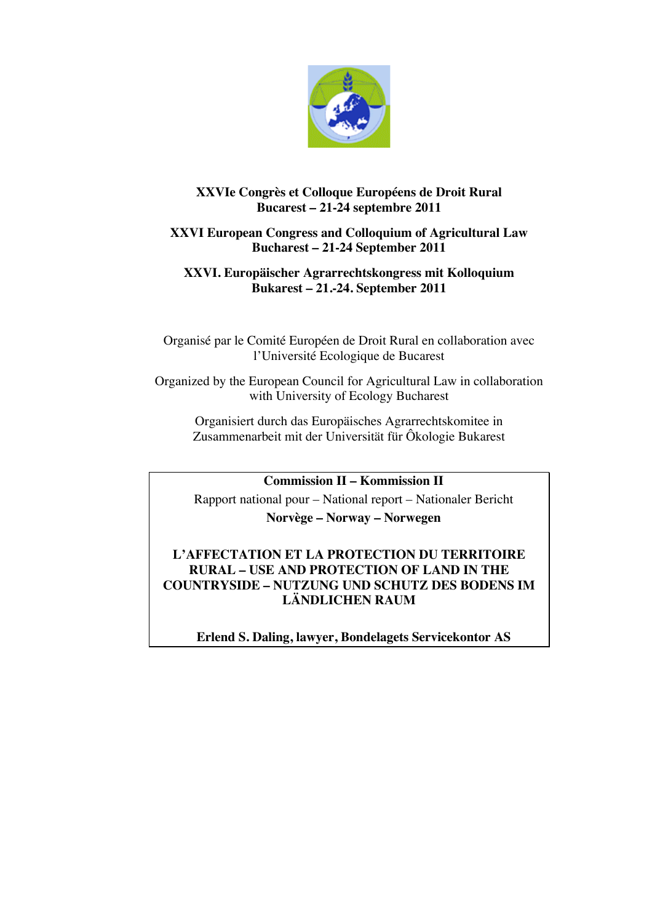

# **XXVIe Congrès et Colloque Européens de Droit Rural Bucarest – 21-24 septembre 2011**

# **XXVI European Congress and Colloquium of Agricultural Law Bucharest – 21-24 September 2011**

# **XXVI. Europäischer Agrarrechtskongress mit Kolloquium Bukarest – 21.-24. September 2011**

Organisé par le Comité Européen de Droit Rural en collaboration avec l'Université Ecologique de Bucarest

Organized by the European Council for Agricultural Law in collaboration with University of Ecology Bucharest

Organisiert durch das Europäisches Agrarrechtskomitee in Zusammenarbeit mit der Universität für Ôkologie Bukarest

**Commission II – Kommission II**

Rapport national pour – National report – Nationaler Bericht **Norvège – Norway – Norwegen**

# **L'AFFECTATION ET LA PROTECTION DU TERRITOIRE RURAL – USE AND PROTECTION OF LAND IN THE COUNTRYSIDE – NUTZUNG UND SCHUTZ DES BODENS IM LÄNDLICHEN RAUM**

**Erlend S. Daling, lawyer, Bondelagets Servicekontor AS**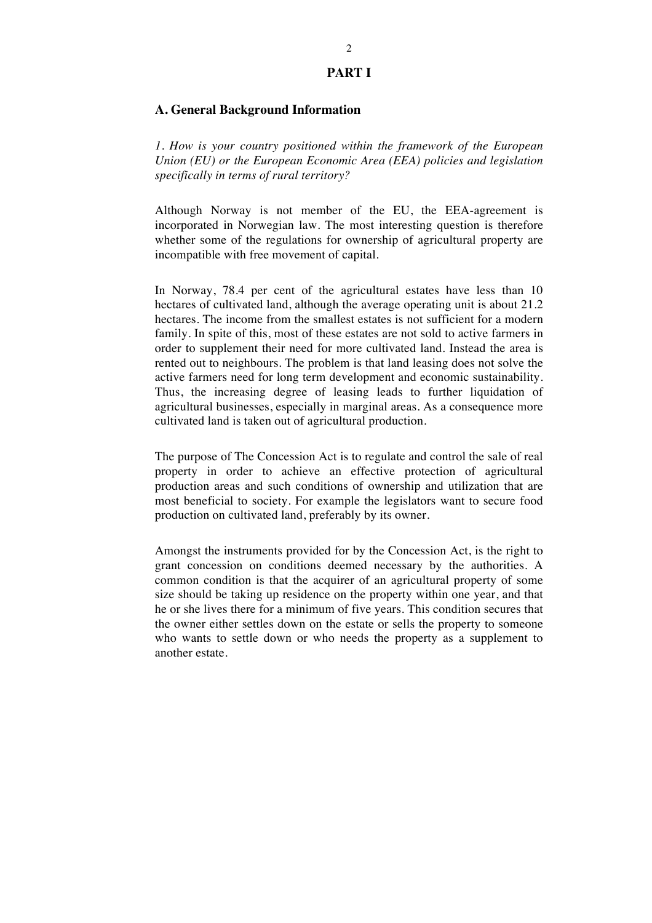#### **PART I**

### **A. General Background Information**

*1. How is your country positioned within the framework of the European Union (EU) or the European Economic Area (EEA) policies and legislation specifically in terms of rural territory?*

Although Norway is not member of the EU, the EEA-agreement is incorporated in Norwegian law. The most interesting question is therefore whether some of the regulations for ownership of agricultural property are incompatible with free movement of capital.

In Norway, 78.4 per cent of the agricultural estates have less than 10 hectares of cultivated land, although the average operating unit is about 21.2 hectares. The income from the smallest estates is not sufficient for a modern family. In spite of this, most of these estates are not sold to active farmers in order to supplement their need for more cultivated land. Instead the area is rented out to neighbours. The problem is that land leasing does not solve the active farmers need for long term development and economic sustainability. Thus, the increasing degree of leasing leads to further liquidation of agricultural businesses, especially in marginal areas. As a consequence more cultivated land is taken out of agricultural production.

The purpose of The Concession Act is to regulate and control the sale of real property in order to achieve an effective protection of agricultural production areas and such conditions of ownership and utilization that are most beneficial to society. For example the legislators want to secure food production on cultivated land, preferably by its owner.

Amongst the instruments provided for by the Concession Act, is the right to grant concession on conditions deemed necessary by the authorities. A common condition is that the acquirer of an agricultural property of some size should be taking up residence on the property within one year, and that he or she lives there for a minimum of five years. This condition secures that the owner either settles down on the estate or sells the property to someone who wants to settle down or who needs the property as a supplement to another estate.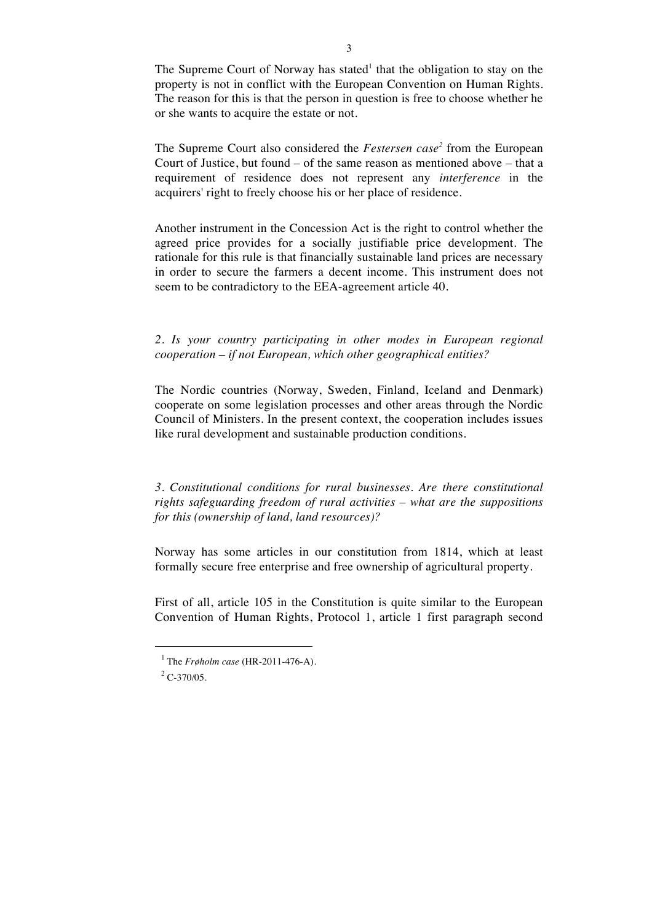The Supreme Court of Norway has stated<sup>1</sup> that the obligation to stay on the property is not in conflict with the European Convention on Human Rights. The reason for this is that the person in question is free to choose whether he or she wants to acquire the estate or not.

The Supreme Court also considered the *Festersen case<sup>2</sup>* from the European Court of Justice, but found – of the same reason as mentioned above – that a requirement of residence does not represent any *interference* in the acquirers' right to freely choose his or her place of residence.

Another instrument in the Concession Act is the right to control whether the agreed price provides for a socially justifiable price development. The rationale for this rule is that financially sustainable land prices are necessary in order to secure the farmers a decent income. This instrument does not seem to be contradictory to the EEA-agreement article 40.

## *2. Is your country participating in other modes in European regional cooperation – if not European, which other geographical entities?*

The Nordic countries (Norway, Sweden, Finland, Iceland and Denmark) cooperate on some legislation processes and other areas through the Nordic Council of Ministers. In the present context, the cooperation includes issues like rural development and sustainable production conditions.

*3. Constitutional conditions for rural businesses. Are there constitutional rights safeguarding freedom of rural activities – what are the suppositions for this (ownership of land, land resources)?*

Norway has some articles in our constitution from 1814, which at least formally secure free enterprise and free ownership of agricultural property.

First of all, article 105 in the Constitution is quite similar to the European Convention of Human Rights, Protocol 1, article 1 first paragraph second

 $\ddot{ }$ 

<sup>1</sup> The *Frøholm case* (HR-2011-476-A).

 $^{2}$  C-370/05.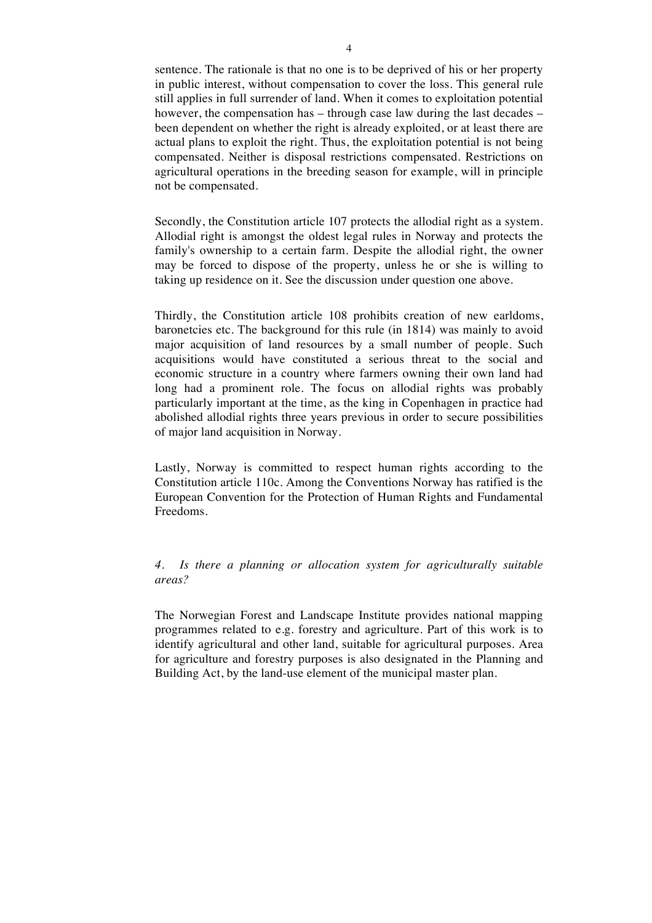sentence. The rationale is that no one is to be deprived of his or her property in public interest, without compensation to cover the loss. This general rule still applies in full surrender of land. When it comes to exploitation potential however, the compensation has – through case law during the last decades – been dependent on whether the right is already exploited, or at least there are actual plans to exploit the right. Thus, the exploitation potential is not being compensated. Neither is disposal restrictions compensated. Restrictions on agricultural operations in the breeding season for example, will in principle not be compensated.

Secondly, the Constitution article 107 protects the allodial right as a system. Allodial right is amongst the oldest legal rules in Norway and protects the family's ownership to a certain farm. Despite the allodial right, the owner may be forced to dispose of the property, unless he or she is willing to taking up residence on it. See the discussion under question one above.

Thirdly, the Constitution article 108 prohibits creation of new earldoms, baronetcies etc. The background for this rule (in 1814) was mainly to avoid major acquisition of land resources by a small number of people. Such acquisitions would have constituted a serious threat to the social and economic structure in a country where farmers owning their own land had long had a prominent role. The focus on allodial rights was probably particularly important at the time, as the king in Copenhagen in practice had abolished allodial rights three years previous in order to secure possibilities of major land acquisition in Norway.

Lastly, Norway is committed to respect human rights according to the Constitution article 110c. Among the Conventions Norway has ratified is the European Convention for the Protection of Human Rights and Fundamental Freedoms.

## *4. Is there a planning or allocation system for agriculturally suitable areas?*

The Norwegian Forest and Landscape Institute provides national mapping programmes related to e.g. forestry and agriculture. Part of this work is to identify agricultural and other land, suitable for agricultural purposes. Area for agriculture and forestry purposes is also designated in the Planning and Building Act, by the land-use element of the municipal master plan.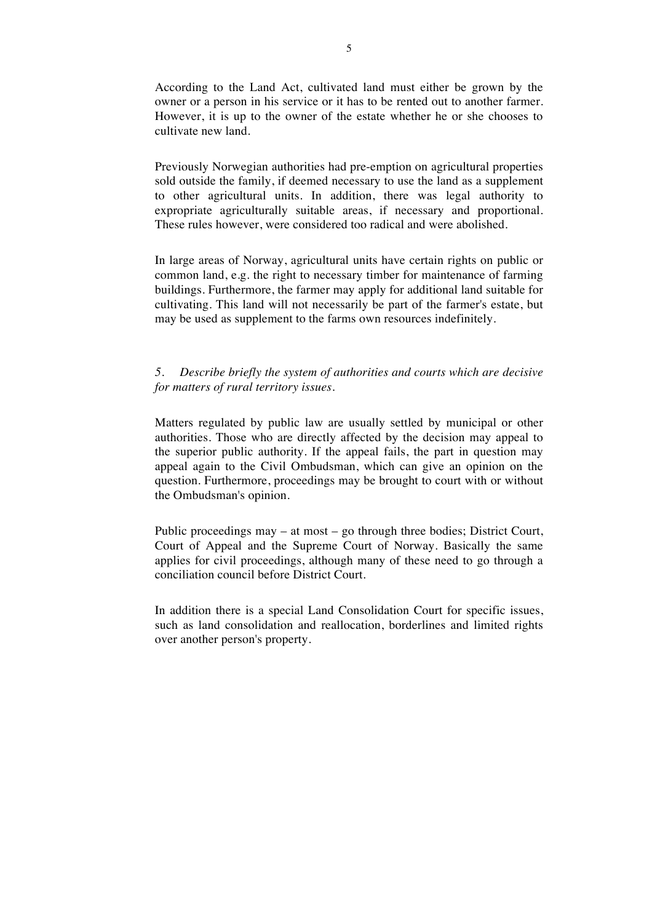According to the Land Act, cultivated land must either be grown by the owner or a person in his service or it has to be rented out to another farmer. However, it is up to the owner of the estate whether he or she chooses to cultivate new land.

Previously Norwegian authorities had pre-emption on agricultural properties sold outside the family, if deemed necessary to use the land as a supplement to other agricultural units. In addition, there was legal authority to expropriate agriculturally suitable areas, if necessary and proportional. These rules however, were considered too radical and were abolished.

In large areas of Norway, agricultural units have certain rights on public or common land, e.g. the right to necessary timber for maintenance of farming buildings. Furthermore, the farmer may apply for additional land suitable for cultivating. This land will not necessarily be part of the farmer's estate, but may be used as supplement to the farms own resources indefinitely.

### *5. Describe briefly the system of authorities and courts which are decisive for matters of rural territory issues.*

Matters regulated by public law are usually settled by municipal or other authorities. Those who are directly affected by the decision may appeal to the superior public authority. If the appeal fails, the part in question may appeal again to the Civil Ombudsman, which can give an opinion on the question. Furthermore, proceedings may be brought to court with or without the Ombudsman's opinion.

Public proceedings may – at most – go through three bodies; District Court, Court of Appeal and the Supreme Court of Norway. Basically the same applies for civil proceedings, although many of these need to go through a conciliation council before District Court.

In addition there is a special Land Consolidation Court for specific issues, such as land consolidation and reallocation, borderlines and limited rights over another person's property.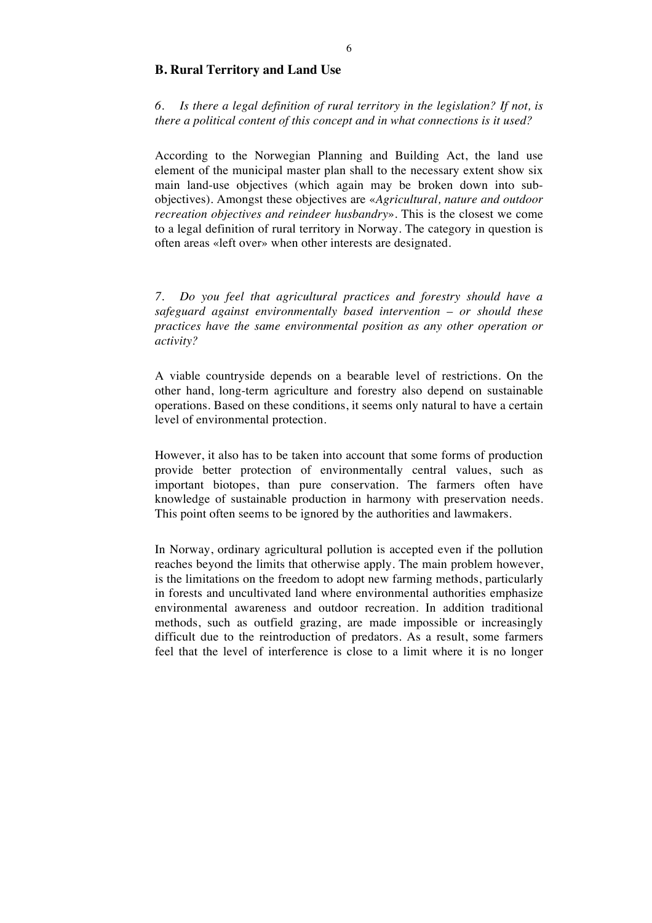### **B. Rural Territory and Land Use**

*6. Is there a legal definition of rural territory in the legislation? If not, is there a political content of this concept and in what connections is it used?*

According to the Norwegian Planning and Building Act, the land use element of the municipal master plan shall to the necessary extent show six main land-use objectives (which again may be broken down into subobjectives). Amongst these objectives are «*Agricultural, nature and outdoor recreation objectives and reindeer husbandry*». This is the closest we come to a legal definition of rural territory in Norway. The category in question is often areas «left over» when other interests are designated.

*7. Do you feel that agricultural practices and forestry should have a safeguard against environmentally based intervention – or should these practices have the same environmental position as any other operation or activity?*

A viable countryside depends on a bearable level of restrictions. On the other hand, long-term agriculture and forestry also depend on sustainable operations. Based on these conditions, it seems only natural to have a certain level of environmental protection.

However, it also has to be taken into account that some forms of production provide better protection of environmentally central values, such as important biotopes, than pure conservation. The farmers often have knowledge of sustainable production in harmony with preservation needs. This point often seems to be ignored by the authorities and lawmakers.

In Norway, ordinary agricultural pollution is accepted even if the pollution reaches beyond the limits that otherwise apply. The main problem however, is the limitations on the freedom to adopt new farming methods, particularly in forests and uncultivated land where environmental authorities emphasize environmental awareness and outdoor recreation. In addition traditional methods, such as outfield grazing, are made impossible or increasingly difficult due to the reintroduction of predators. As a result, some farmers feel that the level of interference is close to a limit where it is no longer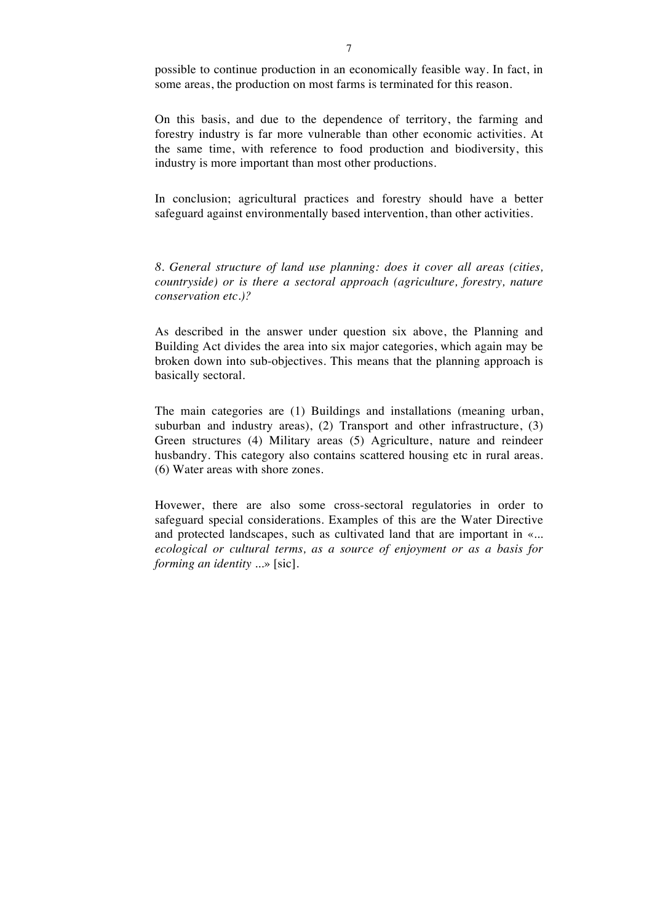possible to continue production in an economically feasible way. In fact, in some areas, the production on most farms is terminated for this reason.

On this basis, and due to the dependence of territory, the farming and forestry industry is far more vulnerable than other economic activities. At the same time, with reference to food production and biodiversity, this industry is more important than most other productions.

In conclusion; agricultural practices and forestry should have a better safeguard against environmentally based intervention, than other activities.

*8. General structure of land use planning: does it cover all areas (cities, countryside) or is there a sectoral approach (agriculture, forestry, nature conservation etc.)?* 

As described in the answer under question six above, the Planning and Building Act divides the area into six major categories, which again may be broken down into sub-objectives. This means that the planning approach is basically sectoral.

The main categories are (1) Buildings and installations (meaning urban, suburban and industry areas), (2) Transport and other infrastructure, (3) Green structures (4) Military areas (5) Agriculture, nature and reindeer husbandry. This category also contains scattered housing etc in rural areas. (6) Water areas with shore zones.

Hovewer, there are also some cross-sectoral regulatories in order to safeguard special considerations. Examples of this are the Water Directive and protected landscapes, such as cultivated land that are important in «*... ecological or cultural terms, as a source of enjoyment or as a basis for forming an identity ...*» [sic].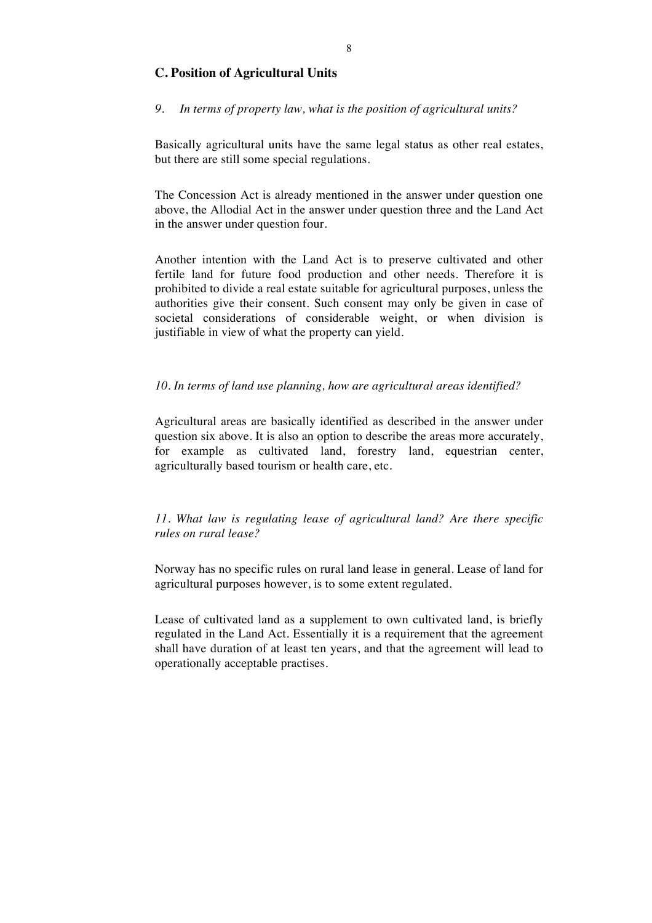## **C. Position of Agricultural Units**

### *9. In terms of property law, what is the position of agricultural units?*

Basically agricultural units have the same legal status as other real estates, but there are still some special regulations.

The Concession Act is already mentioned in the answer under question one above, the Allodial Act in the answer under question three and the Land Act in the answer under question four.

Another intention with the Land Act is to preserve cultivated and other fertile land for future food production and other needs. Therefore it is prohibited to divide a real estate suitable for agricultural purposes, unless the authorities give their consent. Such consent may only be given in case of societal considerations of considerable weight, or when division is justifiable in view of what the property can yield.

#### *10. In terms of land use planning, how are agricultural areas identified?*

Agricultural areas are basically identified as described in the answer under question six above. It is also an option to describe the areas more accurately, for example as cultivated land, forestry land, equestrian center, agriculturally based tourism or health care, etc.

## *11. What law is regulating lease of agricultural land? Are there specific rules on rural lease?*

Norway has no specific rules on rural land lease in general. Lease of land for agricultural purposes however, is to some extent regulated.

Lease of cultivated land as a supplement to own cultivated land, is briefly regulated in the Land Act. Essentially it is a requirement that the agreement shall have duration of at least ten years, and that the agreement will lead to operationally acceptable practises.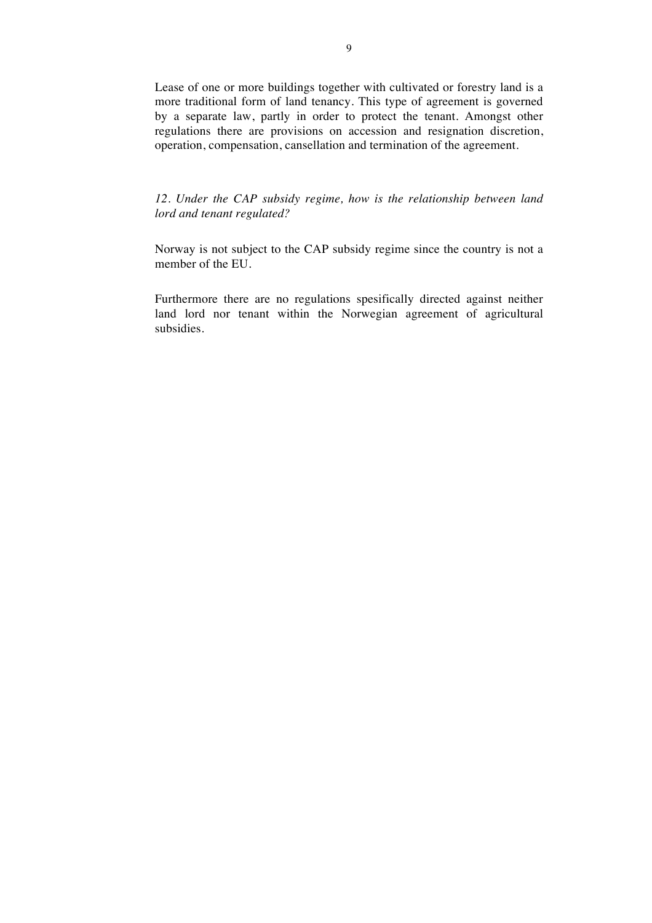Lease of one or more buildings together with cultivated or forestry land is a more traditional form of land tenancy. This type of agreement is governed by a separate law, partly in order to protect the tenant. Amongst other regulations there are provisions on accession and resignation discretion, operation, compensation, cansellation and termination of the agreement.

*12. Under the CAP subsidy regime, how is the relationship between land lord and tenant regulated?*

Norway is not subject to the CAP subsidy regime since the country is not a member of the EU.

Furthermore there are no regulations spesifically directed against neither land lord nor tenant within the Norwegian agreement of agricultural subsidies.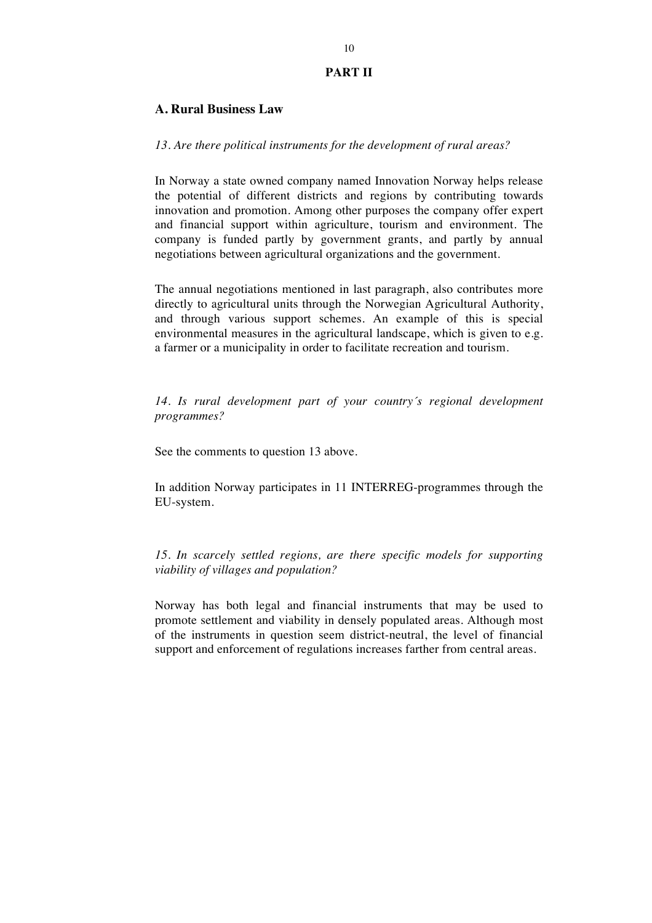#### **PART II**

### **A. Rural Business Law**

#### *13. Are there political instruments for the development of rural areas?*

In Norway a state owned company named Innovation Norway helps release the potential of different districts and regions by contributing towards innovation and promotion. Among other purposes the company offer expert and financial support within agriculture, tourism and environment. The company is funded partly by government grants, and partly by annual negotiations between agricultural organizations and the government.

The annual negotiations mentioned in last paragraph, also contributes more directly to agricultural units through the Norwegian Agricultural Authority, and through various support schemes. An example of this is special environmental measures in the agricultural landscape, which is given to e.g. a farmer or a municipality in order to facilitate recreation and tourism.

*14. Is rural development part of your country´s regional development programmes?*

See the comments to question 13 above.

In addition Norway participates in 11 INTERREG-programmes through the EU-system.

*15. In scarcely settled regions, are there specific models for supporting viability of villages and population?*

Norway has both legal and financial instruments that may be used to promote settlement and viability in densely populated areas. Although most of the instruments in question seem district-neutral, the level of financial support and enforcement of regulations increases farther from central areas.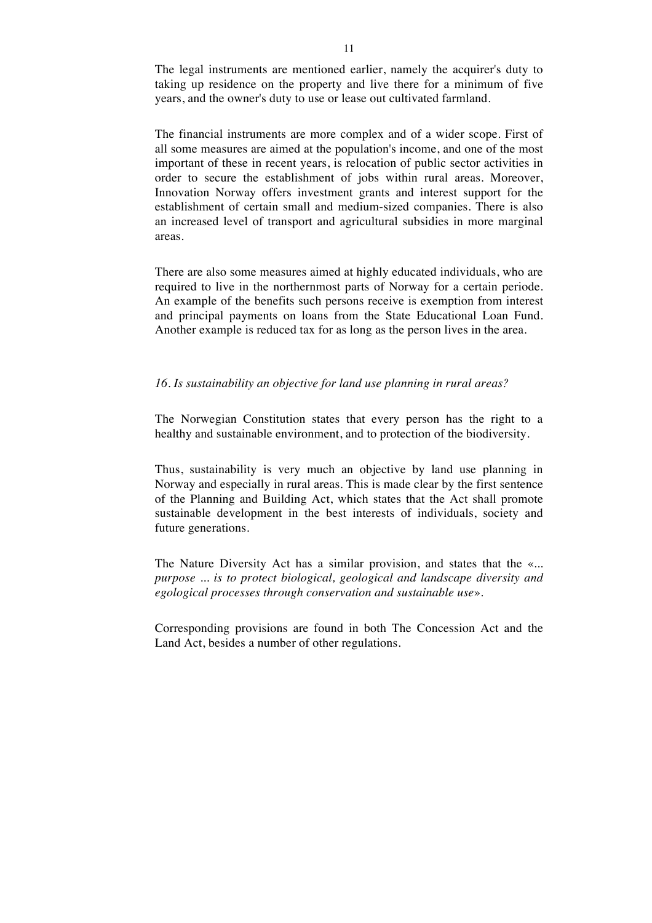The legal instruments are mentioned earlier, namely the acquirer's duty to taking up residence on the property and live there for a minimum of five years, and the owner's duty to use or lease out cultivated farmland.

The financial instruments are more complex and of a wider scope. First of all some measures are aimed at the population's income, and one of the most important of these in recent years, is relocation of public sector activities in order to secure the establishment of jobs within rural areas. Moreover, Innovation Norway offers investment grants and interest support for the establishment of certain small and medium-sized companies. There is also an increased level of transport and agricultural subsidies in more marginal areas.

There are also some measures aimed at highly educated individuals, who are required to live in the northernmost parts of Norway for a certain periode. An example of the benefits such persons receive is exemption from interest and principal payments on loans from the State Educational Loan Fund. Another example is reduced tax for as long as the person lives in the area.

#### *16. Is sustainability an objective for land use planning in rural areas?*

The Norwegian Constitution states that every person has the right to a healthy and sustainable environment, and to protection of the biodiversity.

Thus, sustainability is very much an objective by land use planning in Norway and especially in rural areas. This is made clear by the first sentence of the Planning and Building Act, which states that the Act shall promote sustainable development in the best interests of individuals, society and future generations.

The Nature Diversity Act has a similar provision, and states that the «*... purpose ... is to protect biological, geological and landscape diversity and egological processes through conservation and sustainable use*».

Corresponding provisions are found in both The Concession Act and the Land Act, besides a number of other regulations.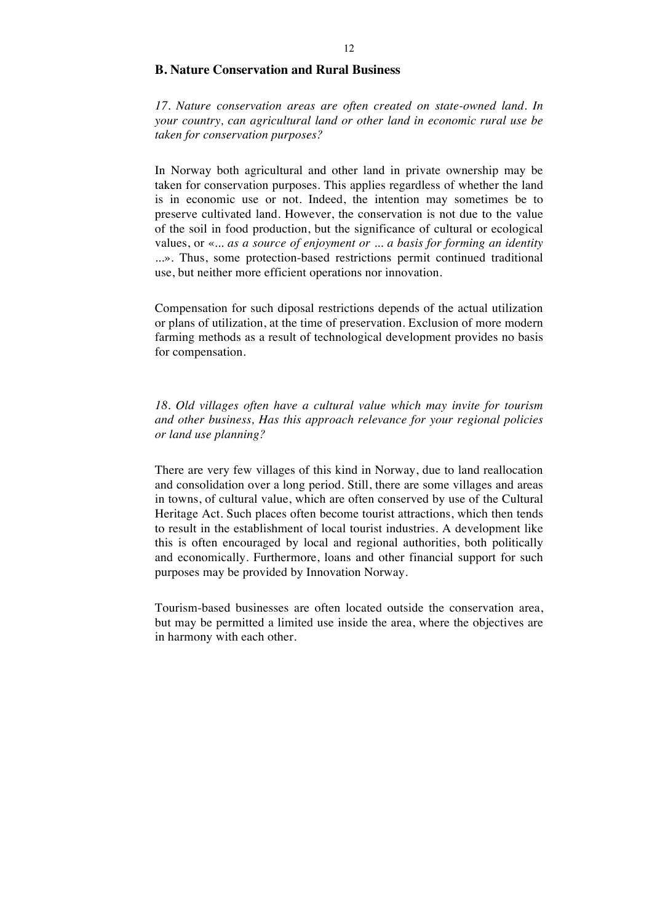### **B. Nature Conservation and Rural Business**

*17. Nature conservation areas are often created on state-owned land. In your country, can agricultural land or other land in economic rural use be taken for conservation purposes?*

In Norway both agricultural and other land in private ownership may be taken for conservation purposes. This applies regardless of whether the land is in economic use or not. Indeed, the intention may sometimes be to preserve cultivated land. However, the conservation is not due to the value of the soil in food production, but the significance of cultural or ecological values, or «*... as a source of enjoyment or ... a basis for forming an identity ...*». Thus, some protection-based restrictions permit continued traditional use, but neither more efficient operations nor innovation.

Compensation for such diposal restrictions depends of the actual utilization or plans of utilization, at the time of preservation. Exclusion of more modern farming methods as a result of technological development provides no basis for compensation.

*18. Old villages often have a cultural value which may invite for tourism and other business, Has this approach relevance for your regional policies or land use planning?*

There are very few villages of this kind in Norway, due to land reallocation and consolidation over a long period. Still, there are some villages and areas in towns, of cultural value, which are often conserved by use of the Cultural Heritage Act. Such places often become tourist attractions, which then tends to result in the establishment of local tourist industries. A development like this is often encouraged by local and regional authorities, both politically and economically. Furthermore, loans and other financial support for such purposes may be provided by Innovation Norway.

Tourism-based businesses are often located outside the conservation area, but may be permitted a limited use inside the area, where the objectives are in harmony with each other.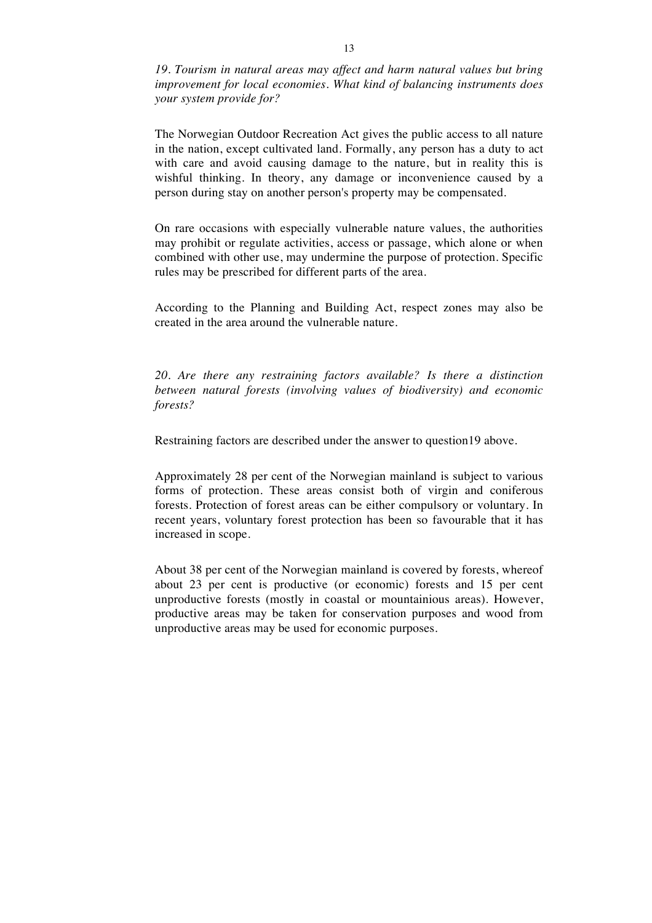*19. Tourism in natural areas may affect and harm natural values but bring improvement for local economies. What kind of balancing instruments does your system provide for?*

The Norwegian Outdoor Recreation Act gives the public access to all nature in the nation, except cultivated land. Formally, any person has a duty to act with care and avoid causing damage to the nature, but in reality this is wishful thinking. In theory, any damage or inconvenience caused by a person during stay on another person's property may be compensated.

On rare occasions with especially vulnerable nature values, the authorities may prohibit or regulate activities, access or passage, which alone or when combined with other use, may undermine the purpose of protection. Specific rules may be prescribed for different parts of the area.

According to the Planning and Building Act, respect zones may also be created in the area around the vulnerable nature.

*20. Are there any restraining factors available? Is there a distinction between natural forests (involving values of biodiversity) and economic forests?*

Restraining factors are described under the answer to question19 above.

Approximately 28 per cent of the Norwegian mainland is subject to various forms of protection. These areas consist both of virgin and coniferous forests. Protection of forest areas can be either compulsory or voluntary. In recent years, voluntary forest protection has been so favourable that it has increased in scope.

About 38 per cent of the Norwegian mainland is covered by forests, whereof about 23 per cent is productive (or economic) forests and 15 per cent unproductive forests (mostly in coastal or mountainious areas). However, productive areas may be taken for conservation purposes and wood from unproductive areas may be used for economic purposes.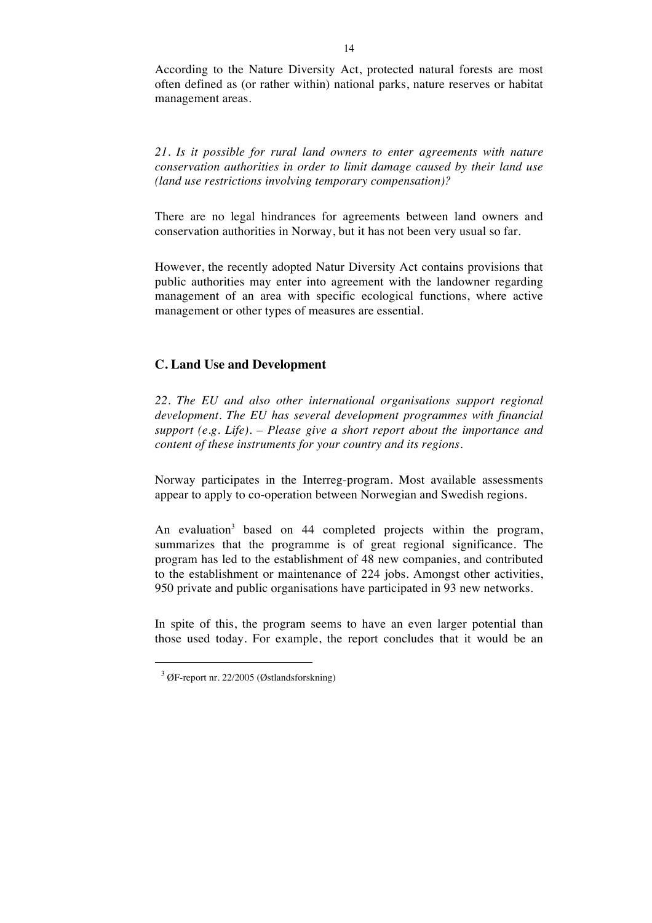According to the Nature Diversity Act, protected natural forests are most often defined as (or rather within) national parks, nature reserves or habitat management areas.

*21. Is it possible for rural land owners to enter agreements with nature conservation authorities in order to limit damage caused by their land use (land use restrictions involving temporary compensation)?* 

There are no legal hindrances for agreements between land owners and conservation authorities in Norway, but it has not been very usual so far.

However, the recently adopted Natur Diversity Act contains provisions that public authorities may enter into agreement with the landowner regarding management of an area with specific ecological functions, where active management or other types of measures are essential.

## **C. Land Use and Development**

*22. The EU and also other international organisations support regional development. The EU has several development programmes with financial support (e.g. Life). – Please give a short report about the importance and content of these instruments for your country and its regions.*

Norway participates in the Interreg-program. Most available assessments appear to apply to co-operation between Norwegian and Swedish regions.

An evaluation<sup>3</sup> based on 44 completed projects within the program, summarizes that the programme is of great regional significance. The program has led to the establishment of 48 new companies, and contributed to the establishment or maintenance of 224 jobs. Amongst other activities, 950 private and public organisations have participated in 93 new networks.

In spite of this, the program seems to have an even larger potential than those used today. For example, the report concludes that it would be an

 $\ddot{ }$ 

<sup>3</sup> ØF-report nr. 22/2005 (Østlandsforskning)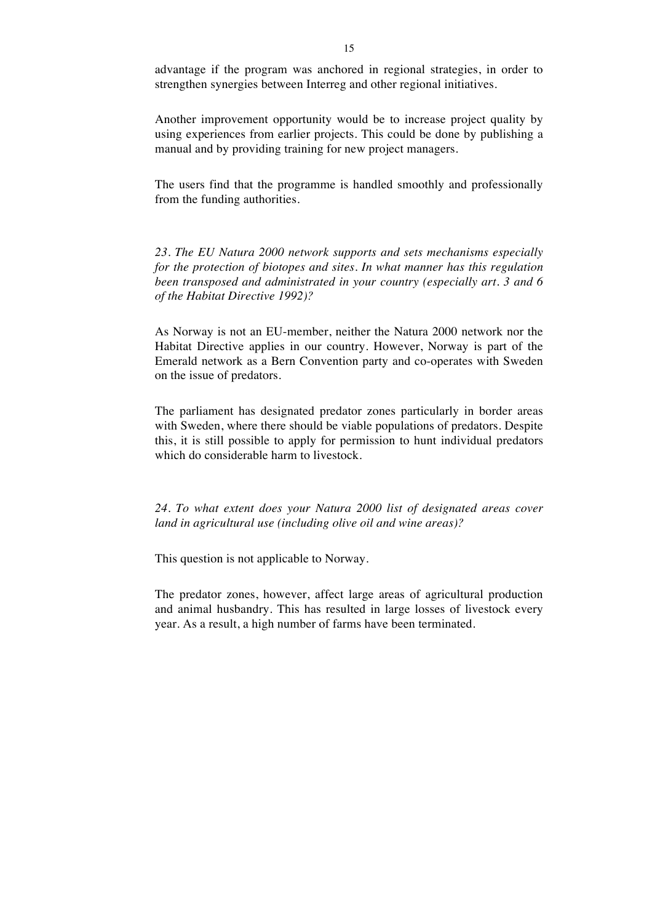advantage if the program was anchored in regional strategies, in order to strengthen synergies between Interreg and other regional initiatives.

Another improvement opportunity would be to increase project quality by using experiences from earlier projects. This could be done by publishing a manual and by providing training for new project managers.

The users find that the programme is handled smoothly and professionally from the funding authorities.

*23. The EU Natura 2000 network supports and sets mechanisms especially for the protection of biotopes and sites. In what manner has this regulation been transposed and administrated in your country (especially art. 3 and 6 of the Habitat Directive 1992)?*

As Norway is not an EU-member, neither the Natura 2000 network nor the Habitat Directive applies in our country. However, Norway is part of the Emerald network as a Bern Convention party and co-operates with Sweden on the issue of predators.

The parliament has designated predator zones particularly in border areas with Sweden, where there should be viable populations of predators. Despite this, it is still possible to apply for permission to hunt individual predators which do considerable harm to livestock.

*24. To what extent does your Natura 2000 list of designated areas cover land in agricultural use (including olive oil and wine areas)?*

This question is not applicable to Norway.

The predator zones, however, affect large areas of agricultural production and animal husbandry. This has resulted in large losses of livestock every year. As a result, a high number of farms have been terminated.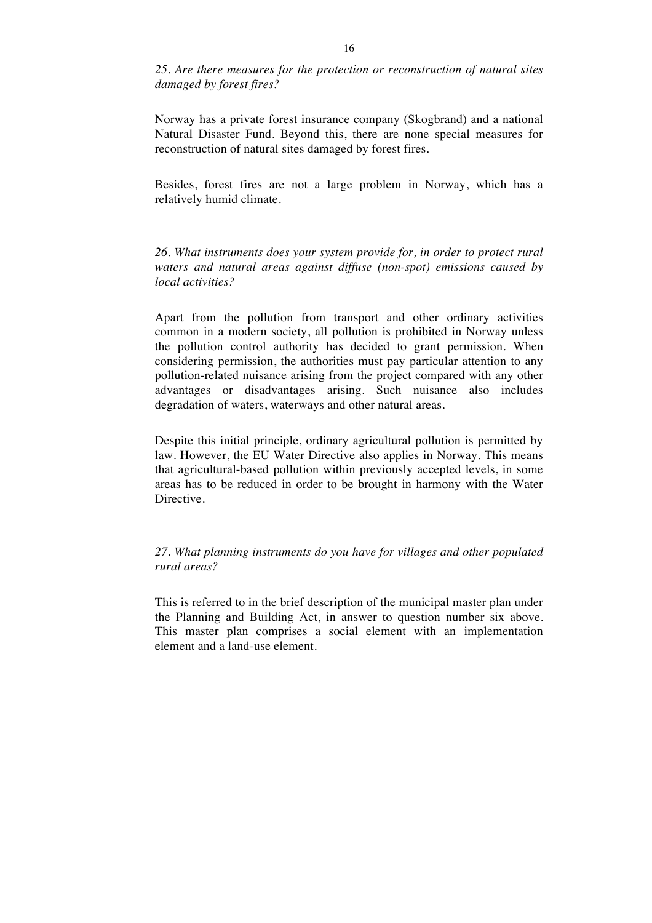*25. Are there measures for the protection or reconstruction of natural sites damaged by forest fires?*

Norway has a private forest insurance company (Skogbrand) and a national Natural Disaster Fund. Beyond this, there are none special measures for reconstruction of natural sites damaged by forest fires.

Besides, forest fires are not a large problem in Norway, which has a relatively humid climate.

*26. What instruments does your system provide for, in order to protect rural waters and natural areas against diffuse (non-spot) emissions caused by local activities?* 

Apart from the pollution from transport and other ordinary activities common in a modern society, all pollution is prohibited in Norway unless the pollution control authority has decided to grant permission. When considering permission, the authorities must pay particular attention to any pollution-related nuisance arising from the project compared with any other advantages or disadvantages arising. Such nuisance also includes degradation of waters, waterways and other natural areas.

Despite this initial principle, ordinary agricultural pollution is permitted by law. However, the EU Water Directive also applies in Norway. This means that agricultural-based pollution within previously accepted levels, in some areas has to be reduced in order to be brought in harmony with the Water Directive.

*27. What planning instruments do you have for villages and other populated rural areas?* 

This is referred to in the brief description of the municipal master plan under the Planning and Building Act, in answer to question number six above. This master plan comprises a social element with an implementation element and a land-use element.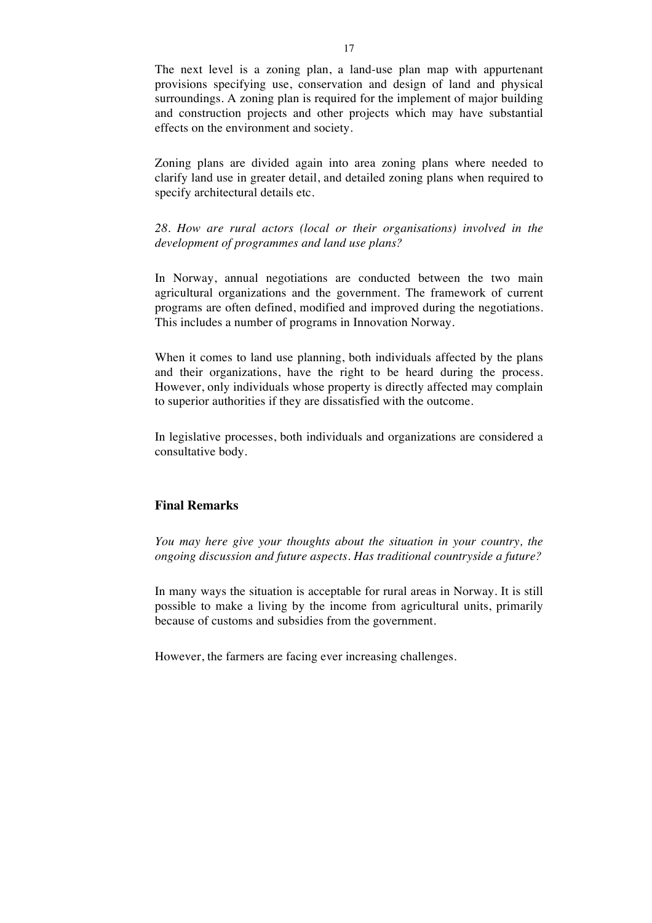The next level is a zoning plan, a land-use plan map with appurtenant provisions specifying use, conservation and design of land and physical surroundings. A zoning plan is required for the implement of major building and construction projects and other projects which may have substantial effects on the environment and society.

Zoning plans are divided again into area zoning plans where needed to clarify land use in greater detail, and detailed zoning plans when required to specify architectural details etc.

*28. How are rural actors (local or their organisations) involved in the development of programmes and land use plans?*

In Norway, annual negotiations are conducted between the two main agricultural organizations and the government. The framework of current programs are often defined, modified and improved during the negotiations. This includes a number of programs in Innovation Norway.

When it comes to land use planning, both individuals affected by the plans and their organizations, have the right to be heard during the process. However, only individuals whose property is directly affected may complain to superior authorities if they are dissatisfied with the outcome.

In legislative processes, both individuals and organizations are considered a consultative body.

### **Final Remarks**

*You may here give your thoughts about the situation in your country, the ongoing discussion and future aspects. Has traditional countryside a future?* 

In many ways the situation is acceptable for rural areas in Norway. It is still possible to make a living by the income from agricultural units, primarily because of customs and subsidies from the government.

However, the farmers are facing ever increasing challenges.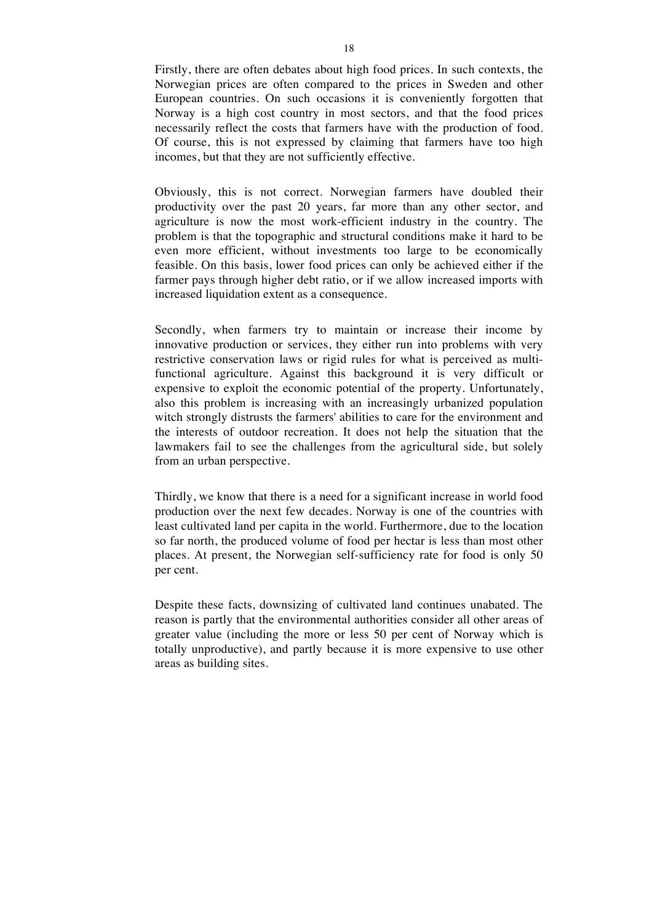Firstly, there are often debates about high food prices. In such contexts, the Norwegian prices are often compared to the prices in Sweden and other European countries. On such occasions it is conveniently forgotten that Norway is a high cost country in most sectors, and that the food prices necessarily reflect the costs that farmers have with the production of food. Of course, this is not expressed by claiming that farmers have too high incomes, but that they are not sufficiently effective.

Obviously, this is not correct. Norwegian farmers have doubled their productivity over the past 20 years, far more than any other sector, and agriculture is now the most work-efficient industry in the country. The problem is that the topographic and structural conditions make it hard to be even more efficient, without investments too large to be economically feasible. On this basis, lower food prices can only be achieved either if the farmer pays through higher debt ratio, or if we allow increased imports with increased liquidation extent as a consequence.

Secondly, when farmers try to maintain or increase their income by innovative production or services, they either run into problems with very restrictive conservation laws or rigid rules for what is perceived as multifunctional agriculture. Against this background it is very difficult or expensive to exploit the economic potential of the property. Unfortunately, also this problem is increasing with an increasingly urbanized population witch strongly distrusts the farmers' abilities to care for the environment and the interests of outdoor recreation. It does not help the situation that the lawmakers fail to see the challenges from the agricultural side, but solely from an urban perspective.

Thirdly, we know that there is a need for a significant increase in world food production over the next few decades. Norway is one of the countries with least cultivated land per capita in the world. Furthermore, due to the location so far north, the produced volume of food per hectar is less than most other places. At present, the Norwegian self-sufficiency rate for food is only 50 per cent.

Despite these facts, downsizing of cultivated land continues unabated. The reason is partly that the environmental authorities consider all other areas of greater value (including the more or less 50 per cent of Norway which is totally unproductive), and partly because it is more expensive to use other areas as building sites.